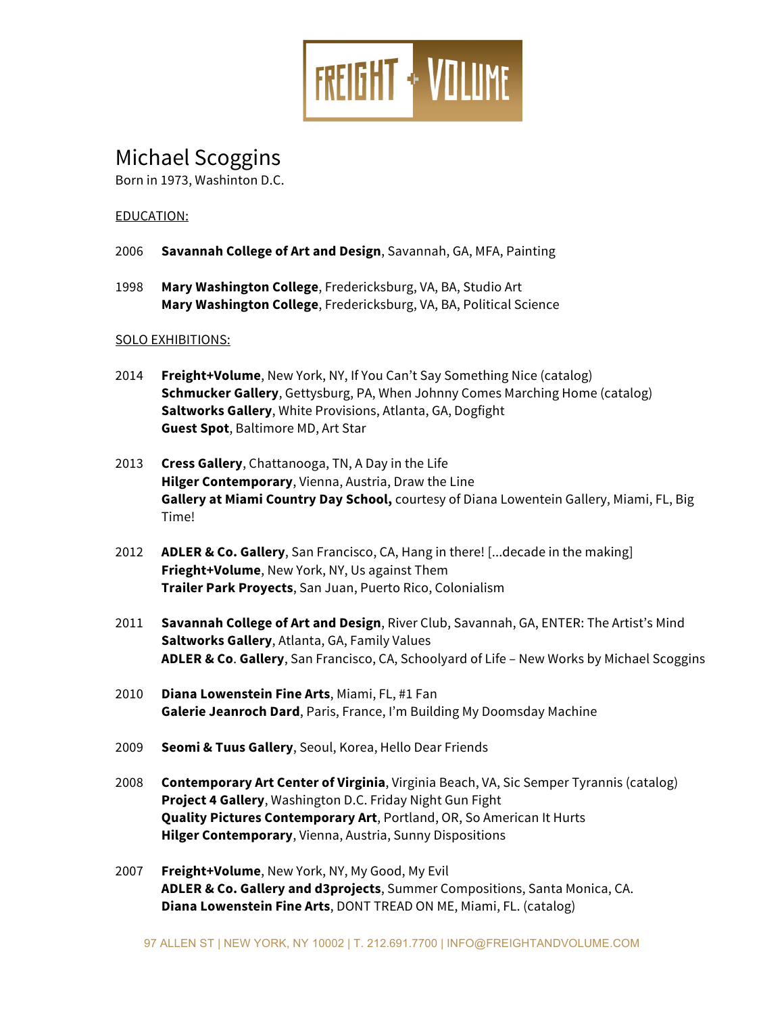

# Michael Scoggins

Born in 1973, Washinton D.C.

# EDUCATION:

- 2006 **Savannah College of Art and Design**, Savannah, GA, MFA, Painting
- 1998 **Mary Washington College**, Fredericksburg, VA, BA, Studio Art **Mary Washington College**, Fredericksburg, VA, BA, Political Science

# SOLO EXHIBITIONS:

- 2014 **Freight+Volume**, New York, NY, If You Can't Say Something Nice (catalog) **Schmucker Gallery**, Gettysburg, PA, When Johnny Comes Marching Home (catalog) **Saltworks Gallery**, White Provisions, Atlanta, GA, Dogfight **Guest Spot**, Baltimore MD, Art Star
- 2013 **Cress Gallery**, Chattanooga, TN, A Day in the Life **Hilger Contemporary**, Vienna, Austria, Draw the Line **Gallery at Miami Country Day School,** courtesy of Diana Lowentein Gallery, Miami, FL, Big Time!
- 2012 **ADLER & Co. Gallery**, San Francisco, CA, Hang in there! [...decade in the making] **Frieght+Volume**, New York, NY, Us against Them **Trailer Park Proyects**, San Juan, Puerto Rico, Colonialism
- 2011 **Savannah College of Art and Design**, River Club, Savannah, GA, ENTER: The Artist's Mind **Saltworks Gallery**, Atlanta, GA, Family Values **ADLER & Co**. **Gallery**, San Francisco, CA, Schoolyard of Life – New Works by Michael Scoggins
- 2010 **Diana Lowenstein Fine Arts**, Miami, FL, #1 Fan **Galerie Jeanroch Dard**, Paris, France, I'm Building My Doomsday Machine
- 2009 **Seomi & Tuus Gallery**, Seoul, Korea, Hello Dear Friends
- 2008 **Contemporary Art Center of Virginia**, Virginia Beach, VA, Sic Semper Tyrannis (catalog) **Project 4 Gallery**, Washington D.C. Friday Night Gun Fight **Quality Pictures Contemporary Art**, Portland, OR, So American It Hurts **Hilger Contemporary**, Vienna, Austria, Sunny Dispositions
- 2007 **Freight+Volume**, New York, NY, My Good, My Evil **ADLER & Co. Gallery and d3projects**, Summer Compositions, Santa Monica, CA. **Diana Lowenstein Fine Arts**, DONT TREAD ON ME, Miami, FL. (catalog)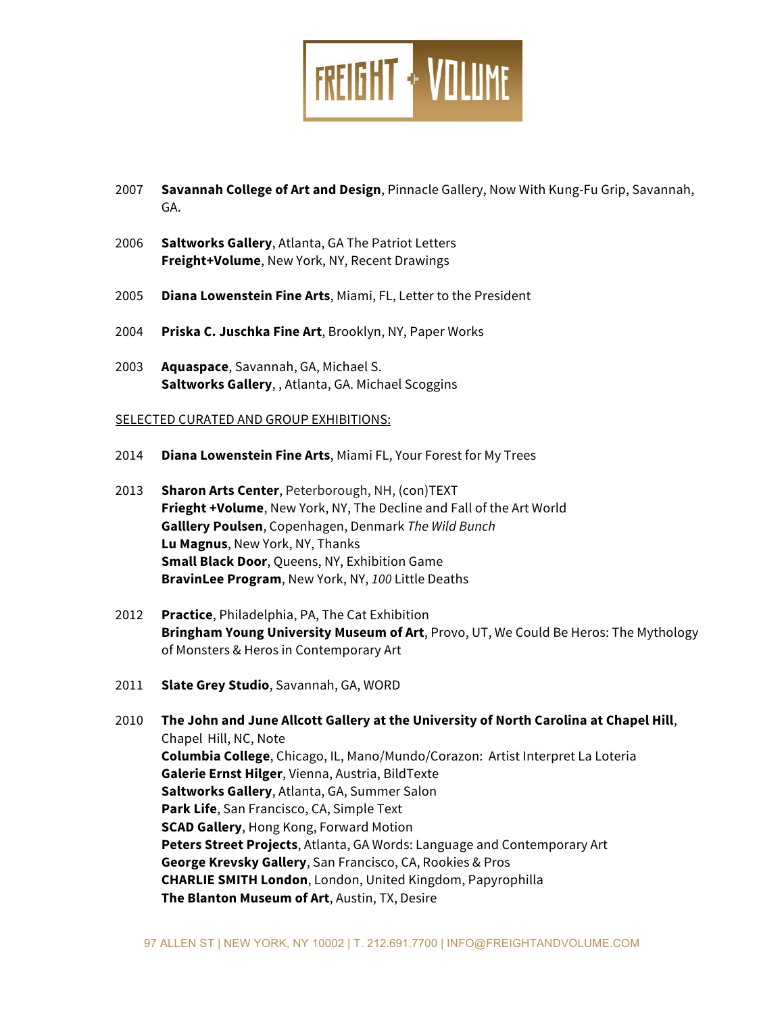

- 2007 **Savannah College of Art and Design**, Pinnacle Gallery, Now With Kung-Fu Grip, Savannah, GA.
- 2006 **Saltworks Gallery**, Atlanta, GA The Patriot Letters **Freight+Volume**, New York, NY, Recent Drawings
- 2005 **Diana Lowenstein Fine Arts**, Miami, FL, Letter to the President
- 2004 **Priska C. Juschka Fine Art**, Brooklyn, NY, Paper Works
- 2003 **Aquaspace**, Savannah, GA, Michael S. **Saltworks Gallery**, , Atlanta, GA. Michael Scoggins

#### SELECTED CURATED AND GROUP EXHIBITIONS:

- 2014 **Diana Lowenstein Fine Arts**, Miami FL, Your Forest for My Trees
- 2013 **Sharon Arts Center**, Peterborough, NH, (con)TEXT **Frieght +Volume**, New York, NY, The Decline and Fall of the Art World **Galllery Poulsen**, Copenhagen, Denmark *The Wild Bunch* **Lu Magnus**, New York, NY, Thanks **Small Black Door**, Queens, NY, Exhibition Game **BravinLee Program**, New York, NY, *100* Little Deaths
- 2012 **Practice**, Philadelphia, PA, The Cat Exhibition **Bringham Young University Museum of Art**, Provo, UT, We Could Be Heros: The Mythology of Monsters & Heros in Contemporary Art
- 2011 **Slate Grey Studio**, Savannah, GA, WORD
- 2010 **The John and June Allcott Gallery at the University of North Carolina at Chapel Hill**, Chapel Hill, NC, Note **Columbia College**, Chicago, IL, Mano/Mundo/Corazon: Artist Interpret La Loteria **Galerie Ernst Hilger**, Vienna, Austria, BildTexte **Saltworks Gallery**, Atlanta, GA, Summer Salon **Park Life**, San Francisco, CA, Simple Text **SCAD Gallery**, Hong Kong, Forward Motion **Peters Street Projects**, Atlanta, GA Words: Language and Contemporary Art **George Krevsky Gallery**, San Francisco, CA, Rookies & Pros **CHARLIE SMITH London**, London, United Kingdom, Papyrophilla **The Blanton Museum of Art**, Austin, TX, Desire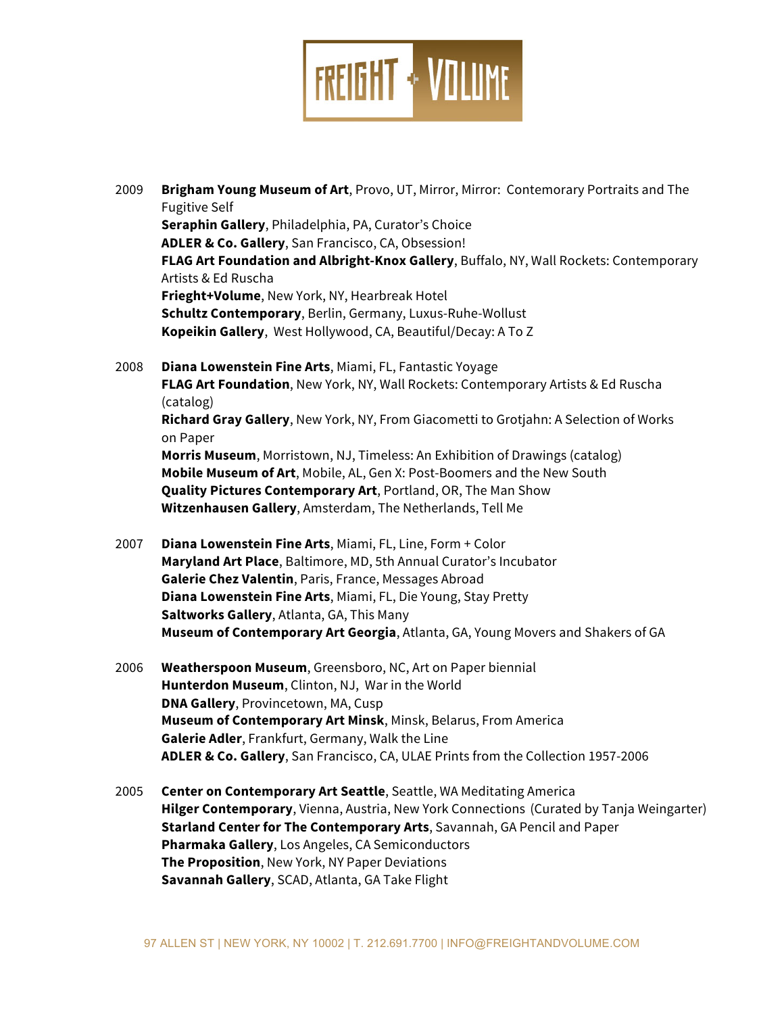

- 2009 **Brigham Young Museum of Art**, Provo, UT, Mirror, Mirror: Contemorary Portraits and The Fugitive Self **Seraphin Gallery**, Philadelphia, PA, Curator's Choice **ADLER & Co. Gallery**, San Francisco, CA, Obsession! **FLAG Art Foundation and Albright-Knox Gallery**, Buffalo, NY, Wall Rockets: Contemporary Artists & Ed Ruscha **Frieght+Volume**, New York, NY, Hearbreak Hotel **Schultz Contemporary**, Berlin, Germany, Luxus-Ruhe-Wollust **Kopeikin Gallery**, West Hollywood, CA, Beautiful/Decay: A To Z
- 2008 **Diana Lowenstein Fine Arts**, Miami, FL, Fantastic Yoyage **FLAG Art Foundation**, New York, NY, Wall Rockets: Contemporary Artists & Ed Ruscha (catalog) **Richard Gray Gallery**, New York, NY, From Giacometti to Grotjahn: A Selection of Works on Paper **Morris Museum**, Morristown, NJ, Timeless: An Exhibition of Drawings (catalog) **Mobile Museum of Art**, Mobile, AL, Gen X: Post-Boomers and the New South **Quality Pictures Contemporary Art**, Portland, OR, The Man Show **Witzenhausen Gallery**, Amsterdam, The Netherlands, Tell Me
- 2007 **Diana Lowenstein Fine Arts**, Miami, FL, Line, Form + Color **Maryland Art Place**, Baltimore, MD, 5th Annual Curator's Incubator **Galerie Chez Valentin**, Paris, France, Messages Abroad **Diana Lowenstein Fine Arts**, Miami, FL, Die Young, Stay Pretty **Saltworks Gallery**, Atlanta, GA, This Many **Museum of Contemporary Art Georgia**, Atlanta, GA, Young Movers and Shakers of GA
- 2006 **Weatherspoon Museum**, Greensboro, NC, Art on Paper biennial **Hunterdon Museum**, Clinton, NJ, War in the World **DNA Gallery**, Provincetown, MA, Cusp **Museum of Contemporary Art Minsk**, Minsk, Belarus, From America **Galerie Adler**, Frankfurt, Germany, Walk the Line **ADLER & Co. Gallery**, San Francisco, CA, ULAE Prints from the Collection 1957-2006
- 2005 **Center on Contemporary Art Seattle**, Seattle, WA Meditating America **Hilger Contemporary**, Vienna, Austria, New York Connections (Curated by Tanja Weingarter) **Starland Center for The Contemporary Arts**, Savannah, GA Pencil and Paper **Pharmaka Gallery**, Los Angeles, CA Semiconductors **The Proposition**, New York, NY Paper Deviations **Savannah Gallery**, SCAD, Atlanta, GA Take Flight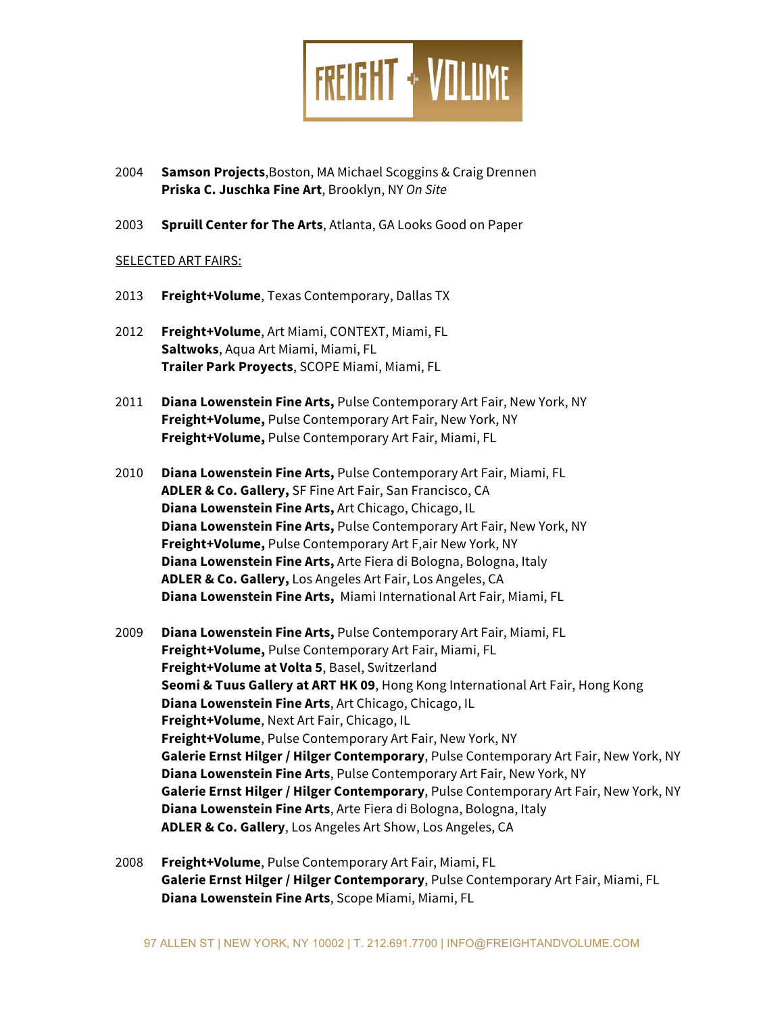

- 2004 **Samson Projects**,Boston, MA Michael Scoggins & Craig Drennen **Priska C. Juschka Fine Art**, Brooklyn, NY *On Site*
- 2003 **Spruill Center for The Arts**, Atlanta, GA Looks Good on Paper

# SELECTED ART FAIRS:

- 2013 **Freight+Volume**, Texas Contemporary, Dallas TX
- 2012 **Freight+Volume**, Art Miami, CONTEXT, Miami, FL **Saltwoks**, Aqua Art Miami, Miami, FL **Trailer Park Proyects**, SCOPE Miami, Miami, FL
- 2011 **Diana Lowenstein Fine Arts,** Pulse Contemporary Art Fair, New York, NY **Freight+Volume,** Pulse Contemporary Art Fair, New York, NY **Freight+Volume,** Pulse Contemporary Art Fair, Miami, FL
- 2010 **Diana Lowenstein Fine Arts,** Pulse Contemporary Art Fair, Miami, FL **ADLER & Co. Gallery,** SF Fine Art Fair, San Francisco, CA **Diana Lowenstein Fine Arts,** Art Chicago, Chicago, IL **Diana Lowenstein Fine Arts,** Pulse Contemporary Art Fair, New York, NY **Freight+Volume,** Pulse Contemporary Art F,air New York, NY **Diana Lowenstein Fine Arts,** Arte Fiera di Bologna, Bologna, Italy **ADLER & Co. Gallery,** Los Angeles Art Fair, Los Angeles, CA **Diana Lowenstein Fine Arts,** Miami International Art Fair, Miami, FL
- 2009 **Diana Lowenstein Fine Arts,** Pulse Contemporary Art Fair, Miami, FL **Freight+Volume,** Pulse Contemporary Art Fair, Miami, FL **Freight+Volume at Volta 5**, Basel, Switzerland **Seomi & Tuus Gallery at ART HK 09**, Hong Kong International Art Fair, Hong Kong **Diana Lowenstein Fine Arts**, Art Chicago, Chicago, IL **Freight+Volume**, Next Art Fair, Chicago, IL **Freight+Volume**, Pulse Contemporary Art Fair, New York, NY **Galerie Ernst Hilger / Hilger Contemporary**, Pulse Contemporary Art Fair, New York, NY **Diana Lowenstein Fine Arts**, Pulse Contemporary Art Fair, New York, NY **Galerie Ernst Hilger / Hilger Contemporary**, Pulse Contemporary Art Fair, New York, NY **Diana Lowenstein Fine Arts**, Arte Fiera di Bologna, Bologna, Italy **ADLER & Co. Gallery**, Los Angeles Art Show, Los Angeles, CA
- 2008 **Freight+Volume**, Pulse Contemporary Art Fair, Miami, FL **Galerie Ernst Hilger / Hilger Contemporary**, Pulse Contemporary Art Fair, Miami, FL **Diana Lowenstein Fine Arts**, Scope Miami, Miami, FL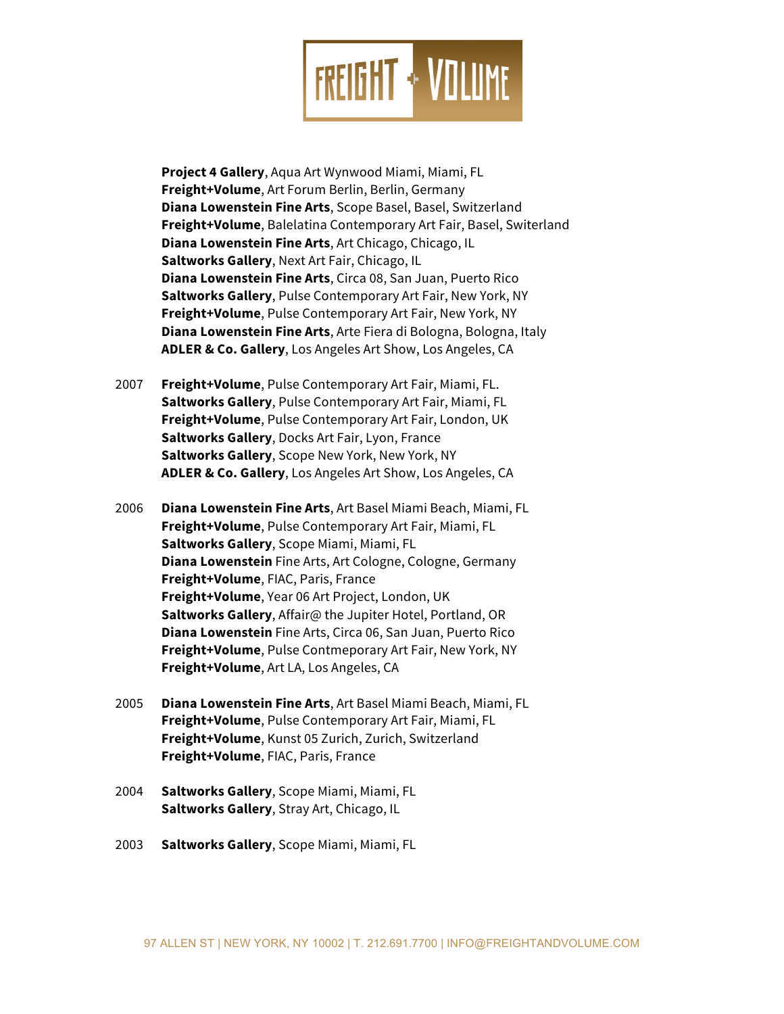

**Project 4 Gallery**, Aqua Art Wynwood Miami, Miami, FL **Freight+Volume**, Art Forum Berlin, Berlin, Germany **Diana Lowenstein Fine Arts**, Scope Basel, Basel, Switzerland **Freight+Volume**, Balelatina Contemporary Art Fair, Basel, Switerland **Diana Lowenstein Fine Arts**, Art Chicago, Chicago, IL **Saltworks Gallery**, Next Art Fair, Chicago, IL **Diana Lowenstein Fine Arts**, Circa 08, San Juan, Puerto Rico **Saltworks Gallery**, Pulse Contemporary Art Fair, New York, NY **Freight+Volume**, Pulse Contemporary Art Fair, New York, NY **Diana Lowenstein Fine Arts**, Arte Fiera di Bologna, Bologna, Italy **ADLER & Co. Gallery**, Los Angeles Art Show, Los Angeles, CA

- 2007 **Freight+Volume**, Pulse Contemporary Art Fair, Miami, FL. **Saltworks Gallery**, Pulse Contemporary Art Fair, Miami, FL **Freight+Volume**, Pulse Contemporary Art Fair, London, UK **Saltworks Gallery**, Docks Art Fair, Lyon, France **Saltworks Gallery**, Scope New York, New York, NY **ADLER & Co. Gallery**, Los Angeles Art Show, Los Angeles, CA
- 2006 **Diana Lowenstein Fine Arts**, Art Basel Miami Beach, Miami, FL **Freight+Volume**, Pulse Contemporary Art Fair, Miami, FL **Saltworks Gallery**, Scope Miami, Miami, FL **Diana Lowenstein** Fine Arts, Art Cologne, Cologne, Germany **Freight+Volume**, FIAC, Paris, France **Freight+Volume**, Year 06 Art Project, London, UK **Saltworks Gallery**, Affair@ the Jupiter Hotel, Portland, OR **Diana Lowenstein** Fine Arts, Circa 06, San Juan, Puerto Rico **Freight+Volume**, Pulse Contmeporary Art Fair, New York, NY **Freight+Volume**, Art LA, Los Angeles, CA
- 2005 **Diana Lowenstein Fine Arts**, Art Basel Miami Beach, Miami, FL **Freight+Volume**, Pulse Contemporary Art Fair, Miami, FL **Freight+Volume**, Kunst 05 Zurich, Zurich, Switzerland **Freight+Volume**, FIAC, Paris, France
- 2004 **Saltworks Gallery**, Scope Miami, Miami, FL **Saltworks Gallery**, Stray Art, Chicago, IL
- 2003 **Saltworks Gallery**, Scope Miami, Miami, FL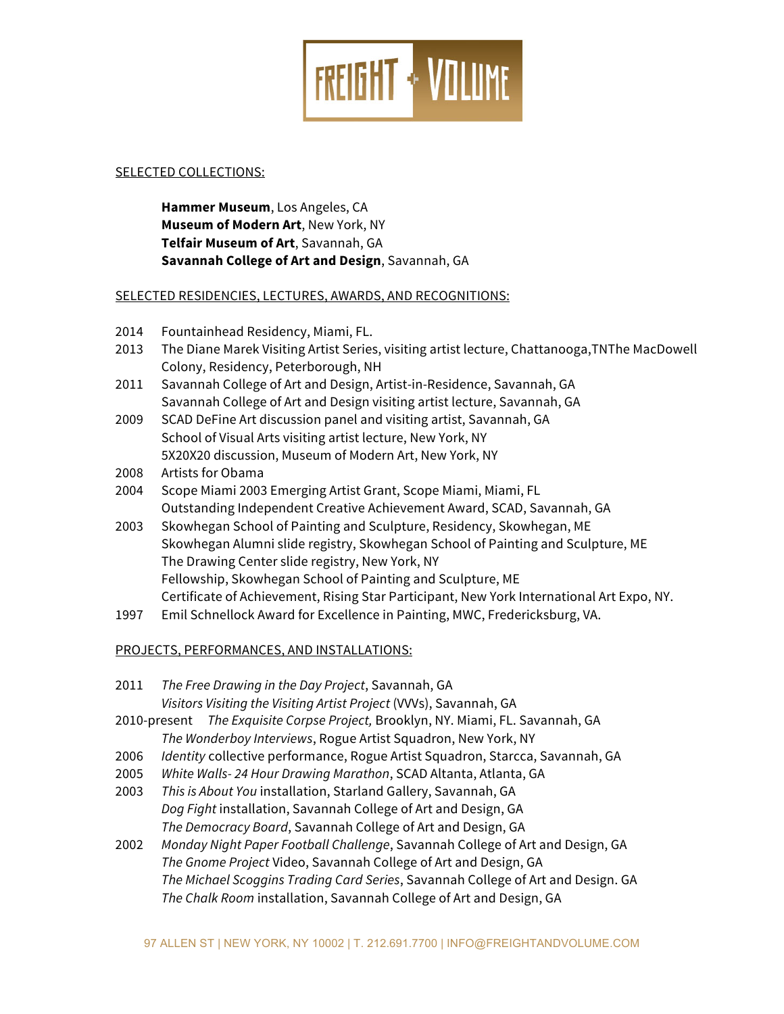

# SELECTED COLLECTIONS:

**Hammer Museum**, Los Angeles, CA **Museum of Modern Art**, New York, NY **Telfair Museum of Art**, Savannah, GA **Savannah College of Art and Design**, Savannah, GA

#### SELECTED RESIDENCIES, LECTURES, AWARDS, AND RECOGNITIONS:

- 2014 Fountainhead Residency, Miami, FL.
- 2013 The Diane Marek Visiting Artist Series, visiting artist lecture, Chattanooga,TNThe MacDowell Colony, Residency, Peterborough, NH
- 2011 Savannah College of Art and Design, Artist-in-Residence, Savannah, GA Savannah College of Art and Design visiting artist lecture, Savannah, GA
- 2009 SCAD DeFine Art discussion panel and visiting artist, Savannah, GA School of Visual Arts visiting artist lecture, New York, NY 5X20X20 discussion, Museum of Modern Art, New York, NY
- 2008 Artists for Obama
- 2004 Scope Miami 2003 Emerging Artist Grant, Scope Miami, Miami, FL Outstanding Independent Creative Achievement Award, SCAD, Savannah, GA
- 2003 Skowhegan School of Painting and Sculpture, Residency, Skowhegan, ME Skowhegan Alumni slide registry, Skowhegan School of Painting and Sculpture, ME The Drawing Center slide registry, New York, NY Fellowship, Skowhegan School of Painting and Sculpture, ME Certificate of Achievement, Rising Star Participant, New York International Art Expo, NY.
- 1997 Emil Schnellock Award for Excellence in Painting, MWC, Fredericksburg, VA.

# PROJECTS, PERFORMANCES, AND INSTALLATIONS:

- 2011 *The Free Drawing in the Day Project*, Savannah, GA *Visitors Visiting the Visiting Artist Project* (VVVs), Savannah, GA
- 2010-present *The Exquisite Corpse Project,* Brooklyn, NY. Miami, FL. Savannah, GA *The Wonderboy Interviews*, Rogue Artist Squadron, New York, NY
- 2006 *Identity* collective performance, Rogue Artist Squadron, Starcca, Savannah, GA
- 2005 *White Walls- 24 Hour Drawing Marathon*, SCAD Altanta, Atlanta, GA
- 2003 *This is About You* installation, Starland Gallery, Savannah, GA *Dog Fight* installation, Savannah College of Art and Design, GA *The Democracy Board*, Savannah College of Art and Design, GA
- 2002 *Monday Night Paper Football Challenge*, Savannah College of Art and Design, GA *The Gnome Project* Video, Savannah College of Art and Design, GA *The Michael Scoggins Trading Card Series*, Savannah College of Art and Design. GA *The Chalk Room* installation, Savannah College of Art and Design, GA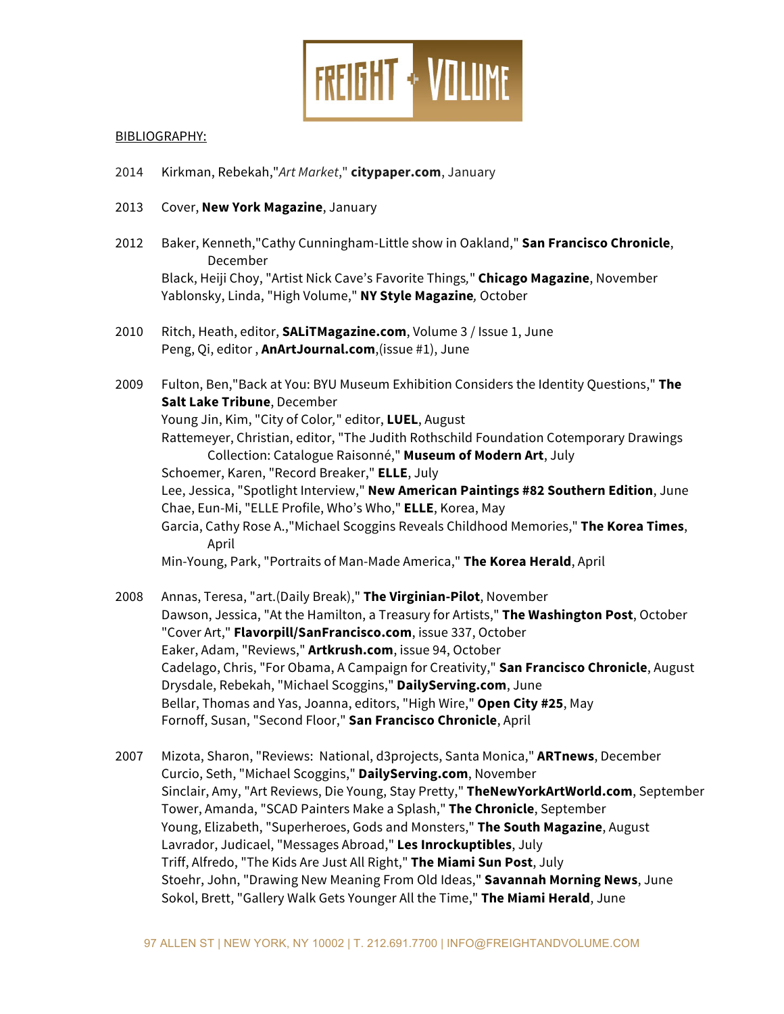

# BIBLIOGRAPHY:

- 2014 Kirkman, Rebekah,"*Art Market*," **citypaper.com**, January
- 2013 Cover, **New York Magazine**, January
- 2012 Baker, Kenneth,"Cathy Cunningham-Little show in Oakland," **San Francisco Chronicle**, December Black, Heiji Choy, "Artist Nick Cave's Favorite Things*,*" **Chicago Magazine**, November Yablonsky, Linda, "High Volume," **NY Style Magazine***,* October
- 2010 Ritch, Heath, editor, **SALiTMagazine.com**, Volume 3 / Issue 1, June Peng, Qi, editor , **AnArtJournal.com**,(issue #1), June
- 2009 Fulton, Ben,"Back at You: BYU Museum Exhibition Considers the Identity Questions," **The Salt Lake Tribune**, December Young Jin, Kim, "City of Color*,*" editor, **LUEL**, August Rattemeyer, Christian, editor, "The Judith Rothschild Foundation Cotemporary Drawings Collection: Catalogue Raisonné," **Museum of Modern Art**, July Schoemer, Karen, "Record Breaker," **ELLE**, July Lee, Jessica, "Spotlight Interview," **New American Paintings #82 Southern Edition**, June Chae, Eun-Mi, "ELLE Profile, Who's Who," **ELLE**, Korea, May Garcia, Cathy Rose A.,"Michael Scoggins Reveals Childhood Memories," **The Korea Times**, April Min-Young, Park, "Portraits of Man-Made America," **The Korea Herald**, April
- 2008 Annas, Teresa, "art.(Daily Break)," **The Virginian-Pilot**, November Dawson, Jessica, "At the Hamilton, a Treasury for Artists," **The Washington Post**, October "Cover Art," **Flavorpill/SanFrancisco.com**, issue 337, October Eaker, Adam, "Reviews," **Artkrush.com**, issue 94, October Cadelago, Chris, "For Obama, A Campaign for Creativity," **San Francisco Chronicle**, August Drysdale, Rebekah, "Michael Scoggins," **DailyServing.com**, June Bellar, Thomas and Yas, Joanna, editors, "High Wire," **Open City #25**, May Fornoff, Susan, "Second Floor," **San Francisco Chronicle**, April
- 2007 Mizota, Sharon, "Reviews: National, d3projects, Santa Monica," **ARTnews**, December Curcio, Seth, "Michael Scoggins," **DailyServing.com**, November Sinclair, Amy, "Art Reviews, Die Young, Stay Pretty," **TheNewYorkArtWorld.com**, September Tower, Amanda, "SCAD Painters Make a Splash," **The Chronicle**, September Young, Elizabeth, "Superheroes, Gods and Monsters," **The South Magazine**, August Lavrador, Judicael, "Messages Abroad," **Les Inrockuptibles**, July Triff, Alfredo, "The Kids Are Just All Right," **The Miami Sun Post**, July Stoehr, John, "Drawing New Meaning From Old Ideas," **Savannah Morning News**, June Sokol, Brett, "Gallery Walk Gets Younger All the Time," **The Miami Herald**, June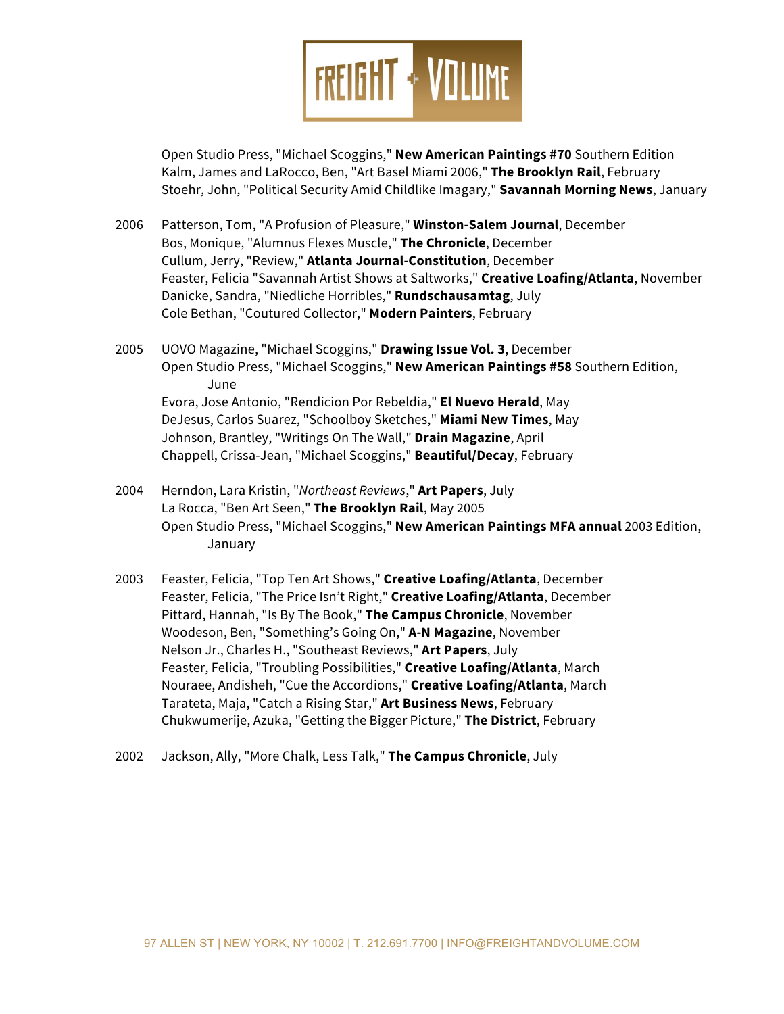

Open Studio Press, "Michael Scoggins," **New American Paintings #70** Southern Edition Kalm, James and LaRocco, Ben, "Art Basel Miami 2006," **The Brooklyn Rail**, February Stoehr, John, "Political Security Amid Childlike Imagary," **Savannah Morning News**, January

- 2006 Patterson, Tom, "A Profusion of Pleasure," **Winston-Salem Journal**, December Bos, Monique, "Alumnus Flexes Muscle," **The Chronicle**, December Cullum, Jerry, "Review," **Atlanta Journal-Constitution**, December Feaster, Felicia "Savannah Artist Shows at Saltworks," **Creative Loafing/Atlanta**, November Danicke, Sandra, "Niedliche Horribles," **Rundschausamtag**, July Cole Bethan, "Coutured Collector," **Modern Painters**, February
- 2005 UOVO Magazine, "Michael Scoggins," **Drawing Issue Vol. 3**, December Open Studio Press, "Michael Scoggins," **New American Paintings #58** Southern Edition, June Evora, Jose Antonio, "Rendicion Por Rebeldia," **El Nuevo Herald**, May DeJesus, Carlos Suarez, "Schoolboy Sketches," **Miami New Times**, May Johnson, Brantley, "Writings On The Wall," **Drain Magazine**, April Chappell, Crissa-Jean, "Michael Scoggins," **Beautiful/Decay**, February
- 2004 Herndon, Lara Kristin, "*Northeast Reviews*," **Art Papers**, July La Rocca, "Ben Art Seen," **The Brooklyn Rail**, May 2005 Open Studio Press, "Michael Scoggins," **New American Paintings MFA annual** 2003 Edition, January
- 2003 Feaster, Felicia, "Top Ten Art Shows," **Creative Loafing/Atlanta**, December Feaster, Felicia, "The Price Isn't Right," **Creative Loafing/Atlanta**, December Pittard, Hannah, "Is By The Book," **The Campus Chronicle**, November Woodeson, Ben, "Something's Going On," **A-N Magazine**, November Nelson Jr., Charles H., "Southeast Reviews," **Art Papers**, July Feaster, Felicia, "Troubling Possibilities," **Creative Loafing/Atlanta**, March Nouraee, Andisheh, "Cue the Accordions," **Creative Loafing/Atlanta**, March Tarateta, Maja, "Catch a Rising Star," **Art Business News**, February Chukwumerije, Azuka, "Getting the Bigger Picture," **The District**, February
- 2002 Jackson, Ally, "More Chalk, Less Talk," **The Campus Chronicle**, July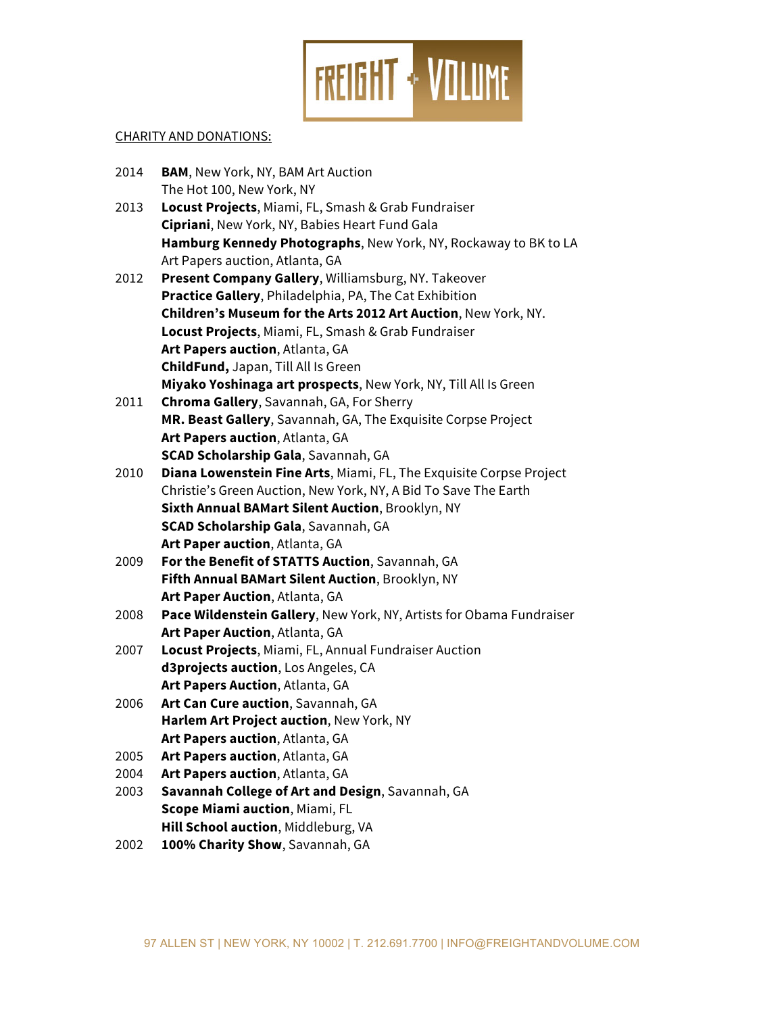

# CHARITY AND DONATIONS:

| 2014 | <b>BAM, New York, NY, BAM Art Auction</b>                            |
|------|----------------------------------------------------------------------|
|      | The Hot 100, New York, NY                                            |
| 2013 | Locust Projects, Miami, FL, Smash & Grab Fundraiser                  |
|      | Cipriani, New York, NY, Babies Heart Fund Gala                       |
|      | Hamburg Kennedy Photographs, New York, NY, Rockaway to BK to LA      |
|      | Art Papers auction, Atlanta, GA                                      |
| 2012 | Present Company Gallery, Williamsburg, NY. Takeover                  |
|      | Practice Gallery, Philadelphia, PA, The Cat Exhibition               |
|      | Children's Museum for the Arts 2012 Art Auction, New York, NY.       |
|      | Locust Projects, Miami, FL, Smash & Grab Fundraiser                  |
|      | Art Papers auction, Atlanta, GA                                      |
|      | ChildFund, Japan, Till All Is Green                                  |
|      | Miyako Yoshinaga art prospects, New York, NY, Till All Is Green      |
| 2011 | Chroma Gallery, Savannah, GA, For Sherry                             |
|      | MR. Beast Gallery, Savannah, GA, The Exquisite Corpse Project        |
|      | Art Papers auction, Atlanta, GA                                      |
|      | <b>SCAD Scholarship Gala, Savannah, GA</b>                           |
| 2010 | Diana Lowenstein Fine Arts, Miami, FL, The Exquisite Corpse Project  |
|      | Christie's Green Auction, New York, NY, A Bid To Save The Earth      |
|      | Sixth Annual BAMart Silent Auction, Brooklyn, NY                     |
|      | <b>SCAD Scholarship Gala, Savannah, GA</b>                           |
|      | Art Paper auction, Atlanta, GA                                       |
| 2009 | For the Benefit of STATTS Auction, Savannah, GA                      |
|      | Fifth Annual BAMart Silent Auction, Brooklyn, NY                     |
|      | Art Paper Auction, Atlanta, GA                                       |
| 2008 | Pace Wildenstein Gallery, New York, NY, Artists for Obama Fundraiser |
|      | Art Paper Auction, Atlanta, GA                                       |
| 2007 | Locust Projects, Miami, FL, Annual Fundraiser Auction                |
|      | d3projects auction, Los Angeles, CA                                  |
|      | Art Papers Auction, Atlanta, GA                                      |
| 2006 | Art Can Cure auction, Savannah, GA                                   |
|      | Harlem Art Project auction, New York, NY                             |
|      | Art Papers auction, Atlanta, GA                                      |
| 2005 | Art Papers auction, Atlanta, GA                                      |
| 2004 | Art Papers auction, Atlanta, GA                                      |
| 2003 | Savannah College of Art and Design, Savannah, GA                     |
|      | Scope Miami auction, Miami, FL                                       |
|      | Hill School auction, Middleburg, VA                                  |
| 2002 | 100% Charity Show, Savannah, GA                                      |